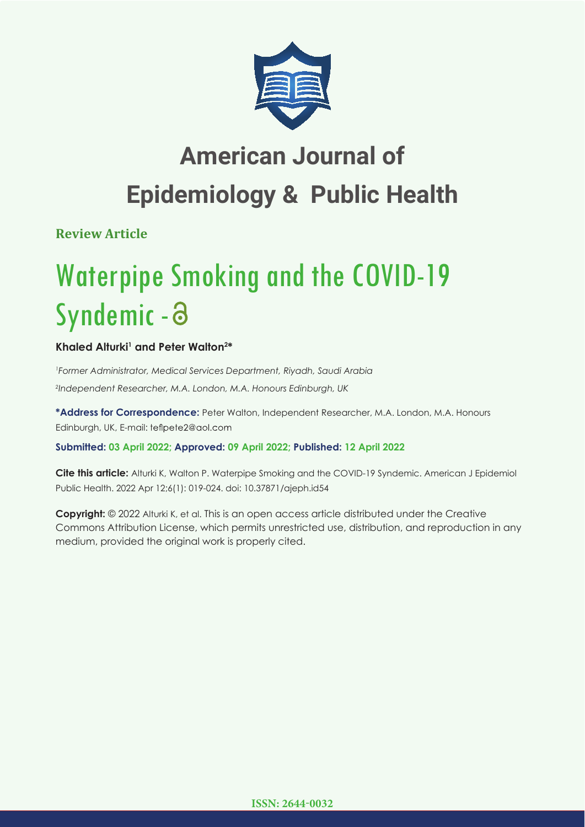

## **American Journal of Epidemiology & Public Health**

**Review Article**

# Waterpipe Smoking and the COVID-19 Syndemic -

## Khaled Alturki<sup>1</sup> and Peter Walton<sup>2\*</sup>

*1 Former Administrator, Medical Services Department, Riyadh, Saudi Arabia 2 Independent Researcher, M.A. London, M.A. Honours Edinburgh, UK*

**\*Address for Correspondence:** Peter Walton, Independent Researcher, M.A. London, M.A. Honours Edinburgh, UK, E-mail: teflpete2@aol.com

### **Submitted: 03 April 2022; Approved: 09 April 2022; Published: 12 April 2022**

**Cite this article:** Alturki K, Walton P. Waterpipe Smoking and the COVID-19 Syndemic. American J Epidemiol Public Health. 2022 Apr 12;6(1): 019-024. doi: 10.37871/ajeph.id54

**Copyright:** © 2022 Alturki K, et al. This is an open access article distributed under the Creative Commons Attribution License, which permits unrestricted use, distribution, and reproduction in any medium, provided the original work is properly cited.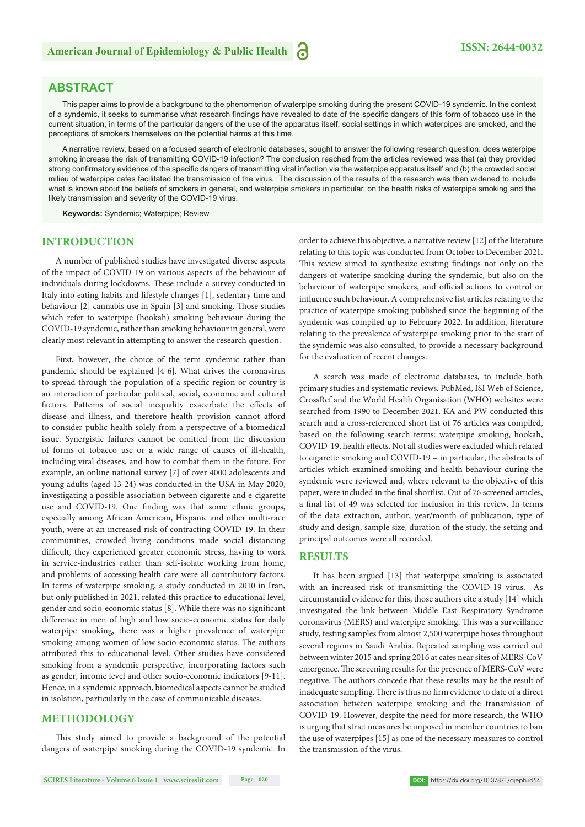#### **ABSTRACT**

This paper aims to provide a background to the phenomenon of waterpipe smoking during the present COVID-19 syndemic. In the context of a syndemic, it seeks to summarise what research findings have revealed to date of the specific dangers of this form of tobacco use in the current situation, in terms of the particular dangers of the use of the apparatus itself, social settings in which waterpipes are smoked, and the perceptions of smokers themselves on the potential harms at this time.

A narrative review, based on a focused search of electronic databases, sought to answer the following research question: does waterpipe smoking increase the risk of transmitting COVID-19 infection? The conclusion reached from the articles reviewed was that (a) they provided strong confirmatory evidence of the specific dangers of transmitting viral infection via the waterpipe apparatus itself and (b) the crowded social milieu of waterpipe cafes facilitated the transmission of the virus. The discussion of the results of the research was then widened to include what is known about the beliefs of smokers in general, and waterpipe smokers in particular, on the health risks of waterpipe smoking and the likely transmission and severity of the COVID-19 virus.

**Keywords:** Syndemic; Waterpipe; Review

#### **INTRODUCTION**

A number of published studies have investigated diverse aspects of the impact of COVID-19 on various aspects of the behaviour of individuals during lockdowns. These include a survey conducted in Italy into eating habits and lifestyle changes [1], sedentary time and behaviour [2] cannabis use in Spain [3] and smoking. Those studies which refer to waterpipe (hookah) smoking behaviour during the COVID-19 syndemic, rather than smoking behaviour in general, were clearly most relevant in attempting to answer the research question.

First, however, the choice of the term syndemic rather than pandemic should be explained [4-6]. What drives the coronavirus to spread through the population of a specific region or country is an interaction of particular political, social, economic and cultural factors. Patterns of social inequality exacerbate the effects of disease and illness, and therefore health provision cannot afford to consider public health solely from a perspective of a biomedical issue. Synergistic failures cannot be omitted from the discussion of forms of tobacco use or a wide range of causes of ill-health, including viral diseases, and how to combat them in the future. For example, an online national survey [7] of over 4000 adolescents and young adults (aged 13-24) was conducted in the USA in May 2020, investigating a possible association between cigarette and e-cigarette use and COVID-19. One finding was that some ethnic groups, especially among African American, Hispanic and other multi-race youth, were at an increased risk of contracting COVID-19. In their communities, crowded living conditions made social distancing difficult, they experienced greater economic stress, having to work in service-industries rather than self-isolate working from home, and problems of accessing health care were all contributory factors. In terms of waterpipe smoking, a study conducted in 2010 in Iran, but only published in 2021, related this practice to educational level, gender and socio-economic status [8]. While there was no significant difference in men of high and low socio-economic status for daily waterpipe smoking, there was a higher prevalence of waterpipe smoking among women of low socio-economic status. The authors attributed this to educational level. Other studies have considered smoking from a syndemic perspective, incorporating factors such as gender, income level and other socio-economic indicators [9-11]. Hence, in a syndemic approach, biomedical aspects cannot be studied in isolation, particularly in the case of communicable diseases.

#### **METHODOLOGY**

This study aimed to provide a background of the potential dangers of waterpipe smoking during the COVID-19 syndemic. In

order to achieve this objective, a narrative review [12] of the literature relating to this topic was conducted from October to December 2021. This review aimed to synthesize existing findings not only on the dangers of wateripe smoking during the syndemic, but also on the behaviour of waterpipe smokers, and official actions to control or influence such behaviour. A comprehensive list articles relating to the practice of waterpipe smoking published since the beginning of the syndemic was compiled up to February 2022. In addition, literature relating to the prevalence of waterpipe smoking prior to the start of the syndemic was also consulted, to provide a necessary background for the evaluation of recent changes.

A search was made of electronic databases, to include both primary studies and systematic reviews. PubMed, ISI Web of Science, CrossRef and the World Health Organisation (WHO) websites were searched from 1990 to December 2021. KA and PW conducted this search and a cross-referenced short list of 76 articles was compiled, based on the following search terms: waterpipe smoking, hookah, COVID-19, health effects. Not all studies were excluded which related to cigarette smoking and COVID-19 – in particular, the abstracts of articles which examined smoking and health behaviour during the syndemic were reviewed and, where relevant to the objective of this paper, were included in the final shortlist. Out of 76 screened articles, a final list of 49 was selected for inclusion in this review. In terms of the data extraction, author, year/month of publication, type of study and design, sample size, duration of the study, the setting and principal outcomes were all recorded.

#### **RESULTS**

It has been argued [13] that waterpipe smoking is associated with an increased risk of transmitting the COVID-19 virus. As circumstantial evidence for this, those authors cite a study [14] which investigated the link between Middle East Respiratory Syndrome coronavirus (MERS) and waterpipe smoking. This was a surveillance study, testing samples from almost 2,500 waterpipe hoses throughout several regions in Saudi Arabia. Repeated sampling was carried out between winter 2015 and spring 2016 at cafes near sites of MERS-CoV emergence. The screening results for the presence of MERS-CoV were negative. The authors concede that these results may be the result of inadequate sampling. There is thus no firm evidence to date of a direct association between waterpipe smoking and the transmission of COVID-19. However, despite the need for more research, the WHO is urging that strict measures be imposed in member countries to ban the use of waterpipes [15] as one of the necessary measures to control the transmission of the virus.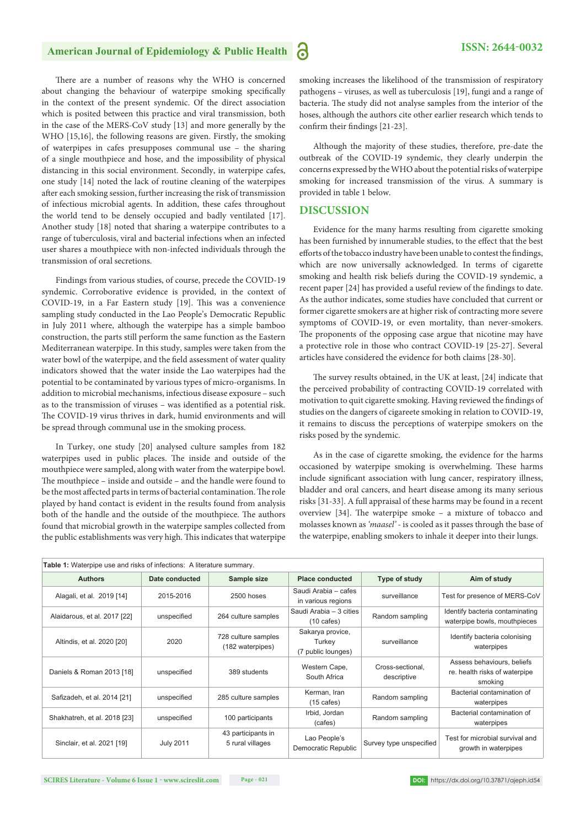## American Journal of Epidemiology & Public Health **3 ISSN: 2644-0032**

There are a number of reasons why the WHO is concerned about changing the behaviour of waterpipe smoking specifically in the context of the present syndemic. Of the direct association which is posited between this practice and viral transmission, both in the case of the MERS-CoV study [13] and more generally by the WHO [15,16], the following reasons are given. Firstly, the smoking of waterpipes in cafes presupposes communal use – the sharing of a single mouthpiece and hose, and the impossibility of physical distancing in this social environment. Secondly, in waterpipe cafes, one study [14] noted the lack of routine cleaning of the waterpipes after each smoking session, further increasing the risk of transmission of infectious microbial agents. In addition, these cafes throughout the world tend to be densely occupied and badly ventilated [17]. Another study [18] noted that sharing a waterpipe contributes to a range of tuberculosis, viral and bacterial infections when an infected user shares a mouthpiece with non-infected individuals through the transmission of oral secretions.

Findings from various studies, of course, precede the COVID-19 syndemic. Corroborative evidence is provided, in the context of COVID-19, in a Far Eastern study [19]. This was a convenience sampling study conducted in the Lao People's Democratic Republic in July 2011 where, although the waterpipe has a simple bamboo construction, the parts still perform the same function as the Eastern Mediterranean waterpipe. In this study, samples were taken from the water bowl of the waterpipe, and the field assessment of water quality indicators showed that the water inside the Lao waterpipes had the potential to be contaminated by various types of micro-organisms. In addition to microbial mechanisms, infectious disease exposure – such as to the transmission of viruses – was identified as a potential risk. The COVID-19 virus thrives in dark, humid environments and will be spread through communal use in the smoking process.

In Turkey, one study [20] analysed culture samples from 182 waterpipes used in public places. The inside and outside of the mouthpiece were sampled, along with water from the waterpipe bowl. The mouthpiece - inside and outside - and the handle were found to be the most affected parts in terms of bacterial contamination. The role played by hand contact is evident in the results found from analysis both of the handle and the outside of the mouthpiece. The authors found that microbial growth in the waterpipe samples collected from the public establishments was very high. This indicates that waterpipe

smoking increases the likelihood of the transmission of respiratory pathogens – viruses, as well as tuberculosis [19], fungi and a range of bacteria. The study did not analyse samples from the interior of the hoses, although the authors cite other earlier research which tends to confirm their findings  $[21-23]$ .

Although the majority of these studies, therefore, pre-date the outbreak of the COVID-19 syndemic, they clearly underpin the concerns expressed by the WHO about the potential risks of waterpipe smoking for increased transmission of the virus. A summary is provided in table 1 below.

#### **DISCUSSION**

Evidence for the many harms resulting from cigarette smoking has been furnished by innumerable studies, to the effect that the best efforts of the tobacco industry have been unable to contest the findings, which are now universally acknowledged. In terms of cigarette smoking and health risk beliefs during the COVID-19 syndemic, a recent paper [24] has provided a useful review of the findings to date. As the author indicates, some studies have concluded that current or former cigarette smokers are at higher risk of contracting more severe symptoms of COVID-19, or even mortality, than never-smokers. The proponents of the opposing case argue that nicotine may have a protective role in those who contract COVID-19 [25-27]. Several articles have considered the evidence for both claims [28-30].

The survey results obtained, in the UK at least, [24] indicate that the perceived probability of contracting COVID-19 correlated with motivation to quit cigarette smoking. Having reviewed the findings of studies on the dangers of cigareete smoking in relation to COVID-19, it remains to discuss the perceptions of waterpipe smokers on the risks posed by the syndemic.

As in the case of cigarette smoking, the evidence for the harms occasioned by waterpipe smoking is overwhelming. These harms include significant association with lung cancer, respiratory illness, bladder and oral cancers, and heart disease among its many serious risks [31-33]. A full appraisal of these harms may be found in a recent overview  $[34]$ . The waterpipe smoke – a mixture of tobacco and molasses known as *'maasel'* - is cooled as it passes through the base of the waterpipe, enabling smokers to inhale it deeper into their lungs.

| <b>Table 1:</b> Waterpipe use and risks of infections: A literature summary. |                  |                                         |                                                  |                                 |                                                                        |
|------------------------------------------------------------------------------|------------------|-----------------------------------------|--------------------------------------------------|---------------------------------|------------------------------------------------------------------------|
| <b>Authors</b>                                                               | Date conducted   | Sample size                             | <b>Place conducted</b>                           | Type of study                   | Aim of study                                                           |
| Alagali, et al. 2019 [14]                                                    | 2015-2016        | 2500 hoses                              | Saudi Arabia - cafes<br>in various regions       | surveillance                    | Test for presence of MERS-CoV                                          |
| Alaidarous, et al. 2017 [22]                                                 | unspecified      | 264 culture samples                     | Saudi Arabia - 3 cities<br>$(10 \text{ cafes})$  | Random sampling                 | Identify bacteria contaminating<br>waterpipe bowls, mouthpieces        |
| Altindis, et al. 2020 [20]                                                   | 2020             | 728 culture samples<br>(182 waterpipes) | Sakarya provice,<br>Turkey<br>(7 public lounges) | surveillance                    | Identify bacteria colonising<br>waterpipes                             |
| Daniels & Roman 2013 [18]                                                    | unspecified      | 389 students                            | Western Cape,<br>South Africa                    | Cross-sectional,<br>descriptive | Assess behaviours, beliefs<br>re. health risks of waterpipe<br>smoking |
| Safizadeh, et al. 2014 [21]                                                  | unspecified      | 285 culture samples                     | Kerman, Iran<br>$(15 \text{ cafes})$             | Random sampling                 | Bacterial contamination of<br>waterpipes                               |
| Shakhatreh, et al. 2018 [23]                                                 | unspecified      | 100 participants                        | Irbid, Jordan<br>(cafes)                         | Random sampling                 | Bacterial contamination of<br>waterpipes                               |
| Sinclair, et al. 2021 [19]                                                   | <b>July 2011</b> | 43 participants in<br>5 rural villages  | Lao People's<br>Democratic Republic              | Survey type unspecified         | Test for microbial survival and<br>growth in waterpipes                |

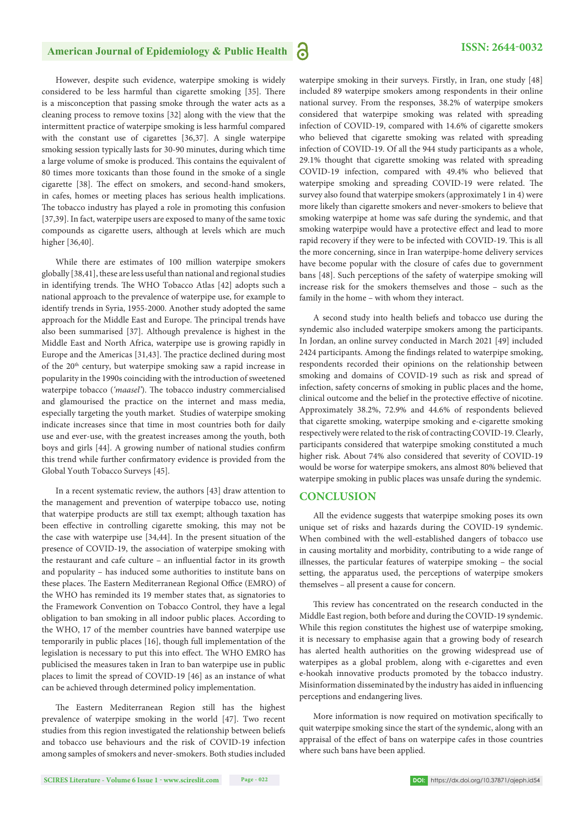## **American Journal of Epidemiology & Public Health ISSN: 2644-0032**

However, despite such evidence, waterpipe smoking is widely considered to be less harmful than cigarette smoking [35]. There is a misconception that passing smoke through the water acts as a cleaning process to remove toxins [32] along with the view that the intermittent practice of waterpipe smoking is less harmful compared with the constant use of cigarettes [36,37]. A single waterpipe smoking session typically lasts for 30-90 minutes, during which time a large volume of smoke is produced. This contains the equivalent of 80 times more toxicants than those found in the smoke of a single cigarette [38]. The effect on smokers, and second-hand smokers, in cafes, homes or meeting places has serious health implications. The tobacco industry has played a role in promoting this confusion [37,39]. In fact, waterpipe users are exposed to many of the same toxic compounds as cigarette users, although at levels which are much higher [36,40].

While there are estimates of 100 million waterpipe smokers globally [38,41], these are less useful than national and regional studies in identifying trends. The WHO Tobacco Atlas [42] adopts such a national approach to the prevalence of waterpipe use, for example to identify trends in Syria, 1955-2000. Another study adopted the same approach for the Middle East and Europe. The principal trends have also been summarised [37]. Although prevalence is highest in the Middle East and North Africa, waterpipe use is growing rapidly in Europe and the Americas [31,43]. The practice declined during most of the 20<sup>th</sup> century, but waterpipe smoking saw a rapid increase in popularity in the 1990s coinciding with the introduction of sweetened waterpipe tobacco ('maasel'). The tobacco industry commercialised and glamourised the practice on the internet and mass media, especially targeting the youth market. Studies of waterpipe smoking indicate increases since that time in most countries both for daily use and ever-use, with the greatest increases among the youth, both boys and girls [44]. A growing number of national studies confirm this trend while further confirmatory evidence is provided from the Global Youth Tobacco Surveys [45].

In a recent systematic review, the authors [43] draw attention to the management and prevention of waterpipe tobacco use, noting that waterpipe products are still tax exempt; although taxation has been effective in controlling cigarette smoking, this may not be the case with waterpipe use [34,44]. In the present situation of the presence of COVID-19, the association of waterpipe smoking with the restaurant and cafe culture - an influential factor in its growth and popularity – has induced some authorities to institute bans on these places. The Eastern Mediterranean Regional Office (EMRO) of the WHO has reminded its 19 member states that, as signatories to the Framework Convention on Tobacco Control, they have a legal obligation to ban smoking in all indoor public places. According to the WHO, 17 of the member countries have banned waterpipe use temporarily in public places [16], though full implementation of the legislation is necessary to put this into effect. The WHO EMRO has publicised the measures taken in Iran to ban waterpipe use in public places to limit the spread of COVID-19 [46] as an instance of what can be achieved through determined policy implementation.

The Eastern Mediterranean Region still has the highest prevalence of waterpipe smoking in the world [47]. Two recent studies from this region investigated the relationship between beliefs and tobacco use behaviours and the risk of COVID-19 infection among samples of smokers and never-smokers. Both studies included waterpipe smoking in their surveys. Firstly, in Iran, one study [48] included 89 waterpipe smokers among respondents in their online national survey. From the responses, 38.2% of waterpipe smokers considered that waterpipe smoking was related with spreading infection of COVID-19, compared with 14.6% of cigarette smokers who believed that cigarette smoking was related with spreading infection of COVID-19. Of all the 944 study participants as a whole, 29.1% thought that cigarette smoking was related with spreading COVID-19 infection, compared with 49.4% who believed that waterpipe smoking and spreading COVID-19 were related. The survey also found that waterpipe smokers (approximately 1 in 4) were more likely than cigarette smokers and never-smokers to believe that smoking waterpipe at home was safe during the syndemic, and that smoking waterpipe would have a protective effect and lead to more rapid recovery if they were to be infected with COVID-19. This is all the more concerning, since in Iran waterpipe-home delivery services have become popular with the closure of cafes due to government bans [48]. Such perceptions of the safety of waterpipe smoking will increase risk for the smokers themselves and those – such as the family in the home – with whom they interact.

A second study into health beliefs and tobacco use during the syndemic also included waterpipe smokers among the participants. In Jordan, an online survey conducted in March 2021 [49] included 2424 participants. Among the findings related to waterpipe smoking, respondents recorded their opinions on the relationship between smoking and domains of COVID-19 such as risk and spread of infection, safety concerns of smoking in public places and the home, clinical outcome and the belief in the protective effective of nicotine. Approximately 38.2%, 72.9% and 44.6% of respondents believed that cigarette smoking, waterpipe smoking and e-cigarette smoking respectively were related to the risk of contracting COVID-19. Clearly, participants considered that waterpipe smoking constituted a much higher risk. About 74% also considered that severity of COVID-19 would be worse for waterpipe smokers, ans almost 80% believed that waterpipe smoking in public places was unsafe during the syndemic.

#### **CONCLUSION**

All the evidence suggests that waterpipe smoking poses its own unique set of risks and hazards during the COVID-19 syndemic. When combined with the well-established dangers of tobacco use in causing mortality and morbidity, contributing to a wide range of illnesses, the particular features of waterpipe smoking – the social setting, the apparatus used, the perceptions of waterpipe smokers themselves – all present a cause for concern.

This review has concentrated on the research conducted in the Middle East region, both before and during the COVID-19 syndemic. While this region constitutes the highest use of waterpipe smoking, it is necessary to emphasise again that a growing body of research has alerted health authorities on the growing widespread use of waterpipes as a global problem, along with e-cigarettes and even e-hookah innovative products promoted by the tobacco industry. Misinformation disseminated by the industry has aided in influencing perceptions and endangering lives.

More information is now required on motivation specifically to quit waterpipe smoking since the start of the syndemic, along with an appraisal of the effect of bans on waterpipe cafes in those countries where such bans have been applied.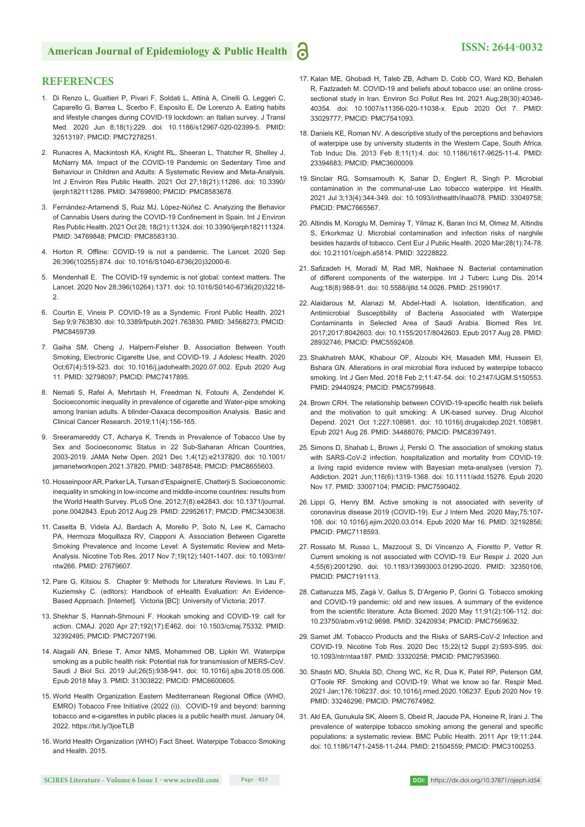#### **REFERENCES**

- 1. Di Renzo L, Gualtieri P, Pivari F, Soldati L, Attinà A, Cinelli G, Leggeri C, Caparello G, Barrea L, Scerbo F, Esposito E, De Lorenzo A. Eating habits and lifestyle changes during COVID-19 lockdown: an Italian survey. J Transl Med. 2020 Jun 8;18(1):229. doi: 10.1186/s12967-020-02399-5. PMID: 32513197; PMCID: PMC7278251.
- 2. Runacres A, Mackintosh KA, Knight RL, Sheeran L, Thatcher R, Shelley J, McNarry MA. Impact of the COVID-19 Pandemic on Sedentary Time and Behaviour in Children and Adults: A Systematic Review and Meta-Analysis. Int J Environ Res Public Health. 2021 Oct 27;18(21):11286. doi: 10.3390/ ijerph182111286. PMID: 34769800; PMCID: PMC8583678.
- 3. Fernández-Artamendi S, Ruiz MJ, López-Núñez C. Analyzing the Behavior of Cannabis Users during the COVID-19 Confinement in Spain. Int J Environ Res Public Health. 2021 Oct 28; 18(21):11324. doi: 10.3390/ijerph182111324. PMID: 34769848; PMCID: PMC8583130.
- 4. Horton R. Offline: COVID-19 is not a pandemic. The Lancet. 2020 Sep 26;396(10255):874. doi: 10.1016/S1040-6736(20)32000-6.
- 5. Mendenhall E. The COVID-19 syndemic is not global: context matters. The Lancet. 2020 Nov 28;396(10264):1371. doi: 10.1016/S0140-6736(20)32218- 2.
- 6. Courtin E, Vineis P. COVID-19 as a Syndemic. Front Public Health. 2021 Sep 9;9:763830. doi: 10.3389/fpubh.2021.763830. PMID: 34568273; PMCID: PMC8459739.
- 7. Gaiha SM, Cheng J, Halpern-Felsher B. Association Between Youth Smoking, Electronic Cigarette Use, and COVID-19. J Adolesc Health. 2020 Oct;67(4):519-523. doi: 10.1016/j.jadohealth.2020.07.002. Epub 2020 Aug 11. PMID: 32798097; PMCID: PMC7417895.
- 8. Nemati S, Rafei A, Mehrtash H, Freedman N, Fotouhi A, Zendehdel K. Socioeconomic inequality in prevalence of cigarette and Water-pipe smoking among Iranian adults. A blinder-Oaxaca decomposition Analysis. Basic and Clinical Cancer Research. 2019;11(4):156-165.
- 9. Sreeramareddy CT, Acharya K. Trends in Prevalence of Tobacco Use by Sex and Socioeconomic Status in 22 Sub-Saharan African Countries, 2003-2019. JAMA Netw Open. 2021 Dec 1;4(12):e2137820. doi: 10.1001/ jamanetworkopen.2021.37820. PMID: 34878548; PMCID: PMC8655603.
- 10. Hosseinpoor AR, Parker LA, Tursan d'Espaignet E, Chatterji S. Socioeconomic inequality in smoking in low-income and middle-income countries: results from the World Health Survey. PLoS One. 2012;7(8):e42843. doi: 10.1371/journal. pone.0042843. Epub 2012 Aug 29. PMID: 22952617; PMCID: PMC3430638.
- 11. Casetta B, Videla AJ, Bardach A, Morello P, Soto N, Lee K, Camacho PA, Hermoza Moquillaza RV, Ciapponi A. Association Between Cigarette Smoking Prevalence and Income Level: A Systematic Review and Meta-Analysis. Nicotine Tob Res. 2017 Nov 7;19(12):1401-1407. doi: 10.1093/ntr/ ntw266. PMID: 27679607.
- 12. Pare G, Kitsiou S. Chapter 9: Methods for Literature Reviews. In Lau F, Kuziemsky C. (editors): Handbook of eHealth Evaluation: An Evidence-Based Approach. [Internet]. Victoria [BC]: University of Victoria; 2017.
- 13. Shekhar S, Hannah-Shmouni F. Hookah smoking and COVID-19: call for action. CMAJ. 2020 Apr 27;192(17):E462. doi: 10.1503/cmaj.75332. PMID: 32392495; PMCID: PMC7207196.
- 14. Alagaili AN, Briese T, Amor NMS, Mohammed OB, Lipkin WI. Waterpipe smoking as a public health risk: Potential risk for transmission of MERS-CoV. Saudi J Biol Sci. 2019 Jul;26(5):938-941. doi: 10.1016/j.sjbs.2018.05.006. Epub 2018 May 3. PMID: 31303822; PMCID: PMC6600605.
- 15. World Health Organization Eastern Mediterranean Regional Office (WHO, EMRO) Tobacco Free Initiative (2022 (i)). COVID-19 and beyond: banning tobacco and e-cigarettes in public places is a public health must. January 04, 2022. https://bit.ly/3joeTLB
- 16. World Health Organization (WHO) Fact Sheet. Waterpipe Tobacco Smoking and Health. 2015.
- 17. Kalan ME, Ghobadi H, Taleb ZB, Adham D, Cobb CO, Ward KD, Behaleh R, Fazlzadeh M. COVID-19 and beliefs about tobacco use: an online crosssectional study in Iran. Environ Sci Pollut Res Int. 2021 Aug;28(30):40346- 40354. doi: 10.1007/s11356-020-11038-x. Epub 2020 Oct 7. PMID: 33029777; PMCID: PMC7541093.
- 18. Daniels KE, Roman NV. A descriptive study of the perceptions and behaviors of waterpipe use by university students in the Western Cape, South Africa. Tob Induc Dis. 2013 Feb 8;11(1):4. doi: 10.1186/1617-9625-11-4. PMID: 23394683; PMCID: PMC3600009.
- 19. Sinclair RG, Somsamouth K, Sahar D, Englert R, Singh P. Microbial contamination in the communal-use Lao tobacco waterpipe. Int Health. 2021 Jul 3;13(4):344-349. doi: 10.1093/inthealth/ihaa078. PMID: 33049758; PMCID: PMC7665567.
- 20. Altindis M, Koroglu M, Demiray T, Yilmaz K, Baran Inci M, Olmez M, Altindis S, Erkorkmaz U. Microbial contamination and infection risks of narghile besides hazards of tobacco. Cent Eur J Public Health. 2020 Mar;28(1):74-78. doi: 10.21101/cejph.a5814. PMID: 32228822.
- 21. Safizadeh H, Moradi M, Rad MR, Nakhaee N. Bacterial contamination of different components of the waterpipe. Int J Tuberc Lung Dis. 2014 Aug;18(8):988-91. doi: 10.5588/ijtld.14.0026. PMID: 25199017.
- 22. Alaidarous M, Alanazi M, Abdel-Hadi A. Isolation, Identification, and Antimicrobial Susceptibility of Bacteria Associated with Waterpipe Contaminants in Selected Area of Saudi Arabia. Biomed Res Int. 2017;2017:8042603. doi: 10.1155/2017/8042603. Epub 2017 Aug 28. PMID: 28932746; PMCID: PMC5592408.
- 23. Shakhatreh MAK, Khabour OF, Alzoubi KH, Masadeh MM, Hussein EI, Bshara GN. Alterations in oral microbial flora induced by waterpipe tobacco smoking. Int J Gen Med. 2018 Feb 2;11:47-54. doi: 10.2147/IJGM.S150553. PMID: 29440924; PMCID: PMC5799848.
- 24. Brown CRH. The relationship between COVID-19-specific health risk beliefs and the motivation to quit smoking: A UK-based survey. Drug Alcohol Depend. 2021 Oct 1;227:108981. doi: 10.1016/j.drugalcdep.2021.108981. Epub 2021 Aug 28. PMID: 34488076; PMCID: PMC8397491.
- 25. Simons D, Shahab L, Brown J, Perski O. The association of smoking status with SARS-CoV-2 infection, hospitalization and mortality from COVID-19: a living rapid evidence review with Bayesian meta-analyses (version 7). Addiction. 2021 Jun;116(6):1319-1368. doi: 10.1111/add.15276. Epub 2020 Nov 17. PMID: 33007104; PMCID: PMC7590402.
- 26. Lippi G, Henry BM. Active smoking is not associated with severity of coronavirus disease 2019 (COVID-19). Eur J Intern Med. 2020 May;75:107- 108. doi: 10.1016/j.ejim.2020.03.014. Epub 2020 Mar 16. PMID: 32192856; PMCID: PMC7118593.
- 27. Rossato M, Russo L, Mazzocut S, Di Vincenzo A, Fioretto P, Vettor R. Current smoking is not associated with COVID-19. Eur Respir J. 2020 Jun 4;55(6):2001290. doi: 10.1183/13993003.01290-2020. PMID: 32350106; PMCID: PMC7191113.
- 28. Cattaruzza MS, Zagà V, Gallus S, D'Argenio P, Gorini G. Tobacco smoking and COVID-19 pandemic: old and new issues. A summary of the evidence from the scientific literature. Acta Biomed. 2020 May 11;91(2):106-112. doi: 10.23750/abm.v91i2.9698. PMID: 32420934; PMCID: PMC7569632.
- 29. Samet JM. Tobacco Products and the Risks of SARS-CoV-2 Infection and COVID-19. Nicotine Tob Res. 2020 Dec 15;22(12 Suppl 2):S93-S95. doi: 10.1093/ntr/ntaa187. PMID: 33320258; PMCID: PMC7953960.
- 30. Shastri MD, Shukla SD, Chong WC, Kc R, Dua K, Patel RP, Peterson GM, O'Toole RF. Smoking and COVID-19: What we know so far. Respir Med. 2021 Jan;176:106237. doi: 10.1016/j.rmed.2020.106237. Epub 2020 Nov 19. PMID: 33246296; PMCID: PMC7674982.
- 31. Akl EA, Gunukula SK, Aleem S, Obeid R, Jaoude PA, Honeine R, Irani J. The prevalence of waterpipe tobacco smoking among the general and specific populations: a systematic review. BMC Public Health. 2011 Apr 19;11:244. doi: 10.1186/1471-2458-11-244. PMID: 21504559; PMCID: PMC3100253.